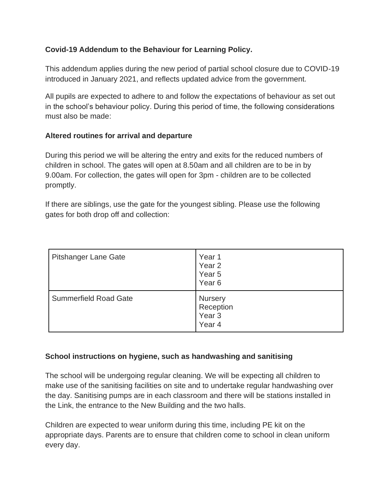# **Covid-19 Addendum to the Behaviour for Learning Policy.**

This addendum applies during the new period of partial school closure due to COVID-19 introduced in January 2021, and reflects updated advice from the government.

All pupils are expected to adhere to and follow the expectations of behaviour as set out in the school's behaviour policy. During this period of time, the following considerations must also be made:

# **Altered routines for arrival and departure**

During this period we will be altering the entry and exits for the reduced numbers of children in school. The gates will open at 8.50am and all children are to be in by 9.00am. For collection, the gates will open for 3pm - children are to be collected promptly.

If there are siblings, use the gate for the youngest sibling. Please use the following gates for both drop off and collection:

| <b>Pitshanger Lane Gate</b>  | Year <sub>1</sub><br>Year <sub>2</sub><br>Year 5<br>Year <sub>6</sub> |
|------------------------------|-----------------------------------------------------------------------|
| <b>Summerfield Road Gate</b> | Nursery<br>Reception<br>Year <sub>3</sub><br>Year 4                   |

# **School instructions on hygiene, such as handwashing and sanitising**

The school will be undergoing regular cleaning. We will be expecting all children to make use of the sanitising facilities on site and to undertake regular handwashing over the day. Sanitising pumps are in each classroom and there will be stations installed in the Link, the entrance to the New Building and the two halls.

Children are expected to wear uniform during this time, including PE kit on the appropriate days. Parents are to ensure that children come to school in clean uniform every day.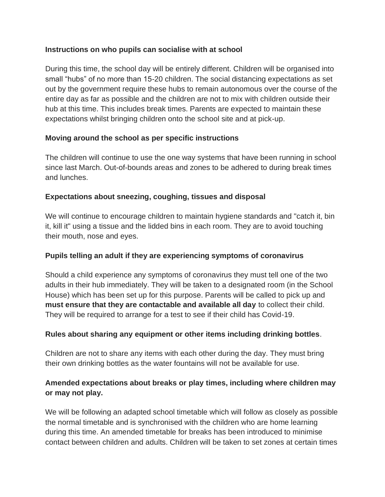# **Instructions on who pupils can socialise with at school**

During this time, the school day will be entirely different. Children will be organised into small "hubs" of no more than 15-20 children. The social distancing expectations as set out by the government require these hubs to remain autonomous over the course of the entire day as far as possible and the children are not to mix with children outside their hub at this time. This includes break times. Parents are expected to maintain these expectations whilst bringing children onto the school site and at pick-up.

#### **Moving around the school as per specific instructions**

The children will continue to use the one way systems that have been running in school since last March. Out-of-bounds areas and zones to be adhered to during break times and lunches.

# **Expectations about sneezing, coughing, tissues and disposal**

We will continue to encourage children to maintain hygiene standards and "catch it, bin it, kill it" using a tissue and the lidded bins in each room. They are to avoid touching their mouth, nose and eyes.

#### **Pupils telling an adult if they are experiencing symptoms of coronavirus**

Should a child experience any symptoms of coronavirus they must tell one of the two adults in their hub immediately. They will be taken to a designated room (in the School House) which has been set up for this purpose. Parents will be called to pick up and **must ensure that they are contactable and available all day** to collect their child. They will be required to arrange for a test to see if their child has Covid-19.

# **Rules about sharing any equipment or other items including drinking bottles**.

Children are not to share any items with each other during the day. They must bring their own drinking bottles as the water fountains will not be available for use.

# **Amended expectations about breaks or play times, including where children may or may not play.**

We will be following an adapted school timetable which will follow as closely as possible the normal timetable and is synchronised with the children who are home learning during this time. An amended timetable for breaks has been introduced to minimise contact between children and adults. Children will be taken to set zones at certain times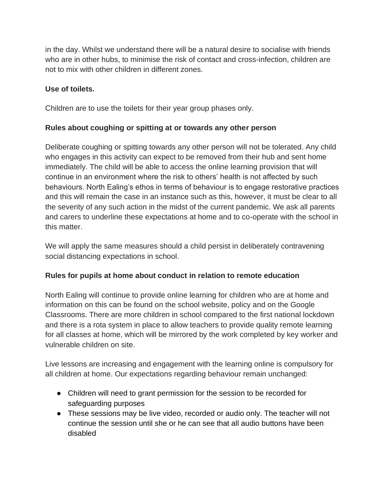in the day. Whilst we understand there will be a natural desire to socialise with friends who are in other hubs, to minimise the risk of contact and cross-infection, children are not to mix with other children in different zones.

# **Use of toilets.**

Children are to use the toilets for their year group phases only.

# **Rules about coughing or spitting at or towards any other person**

Deliberate coughing or spitting towards any other person will not be tolerated. Any child who engages in this activity can expect to be removed from their hub and sent home immediately. The child will be able to access the online learning provision that will continue in an environment where the risk to others' health is not affected by such behaviours. North Ealing's ethos in terms of behaviour is to engage restorative practices and this will remain the case in an instance such as this, however, it must be clear to all the severity of any such action in the midst of the current pandemic. We ask all parents and carers to underline these expectations at home and to co-operate with the school in this matter.

We will apply the same measures should a child persist in deliberately contravening social distancing expectations in school.

# **Rules for pupils at home about conduct in relation to remote education**

North Ealing will continue to provide online learning for children who are at home and information on this can be found on the school website, policy and on the Google Classrooms. There are more children in school compared to the first national lockdown and there is a rota system in place to allow teachers to provide quality remote learning for all classes at home, which will be mirrored by the work completed by key worker and vulnerable children on site.

Live lessons are increasing and engagement with the learning online is compulsory for all children at home. Our expectations regarding behaviour remain unchanged:

- Children will need to grant permission for the session to be recorded for safeguarding purposes
- These sessions may be live video, recorded or audio only. The teacher will not continue the session until she or he can see that all audio buttons have been disabled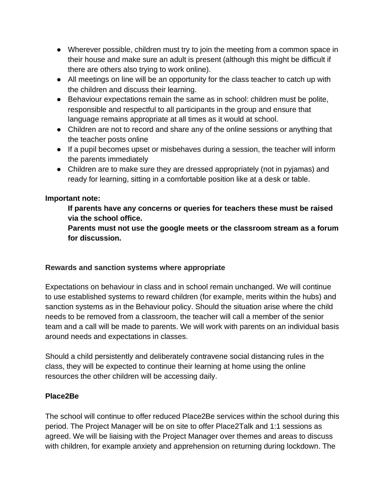- Wherever possible, children must try to join the meeting from a common space in their house and make sure an adult is present (although this might be difficult if there are others also trying to work online).
- All meetings on line will be an opportunity for the class teacher to catch up with the children and discuss their learning.
- Behaviour expectations remain the same as in school: children must be polite, responsible and respectful to all participants in the group and ensure that language remains appropriate at all times as it would at school.
- Children are not to record and share any of the online sessions or anything that the teacher posts online
- If a pupil becomes upset or misbehaves during a session, the teacher will inform the parents immediately
- Children are to make sure they are dressed appropriately (not in pyjamas) and ready for learning, sitting in a comfortable position like at a desk or table.

# **Important note:**

**If parents have any concerns or queries for teachers these must be raised via the school office.**

**Parents must not use the google meets or the classroom stream as a forum for discussion.**

# **Rewards and sanction systems where appropriate**

Expectations on behaviour in class and in school remain unchanged. We will continue to use established systems to reward children (for example, merits within the hubs) and sanction systems as in the Behaviour policy. Should the situation arise where the child needs to be removed from a classroom, the teacher will call a member of the senior team and a call will be made to parents. We will work with parents on an individual basis around needs and expectations in classes.

Should a child persistently and deliberately contravene social distancing rules in the class, they will be expected to continue their learning at home using the online resources the other children will be accessing daily.

# **Place2Be**

The school will continue to offer reduced Place2Be services within the school during this period. The Project Manager will be on site to offer Place2Talk and 1:1 sessions as agreed. We will be liaising with the Project Manager over themes and areas to discuss with children, for example anxiety and apprehension on returning during lockdown. The